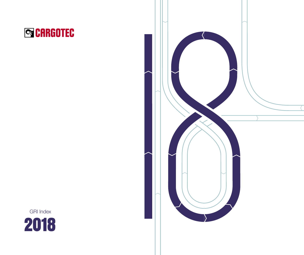



2018 GRI Index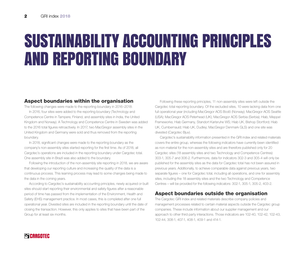## SUSTAINABILITY ACCOUNTING PRINCIPLES AND REPORTING BOUNDARY

## Aspect boundaries within the organisation

The following changes were made to the reporting boundary in 2016–2018: In 2016, four sites were added to the reporting boundary (Technology and Competence Centre in Tampere, Finland, and assembly sites in India, the United Kingdom and Norway). A Technology and Competence Centre in Sweden was added to the 2016 total figures retroactively. In 2017, two MacGregor assembly sites in the United Kingdom and Germany were sold and thus removed from the reporting boundary.

In 2018, significant changes were made to the reporting boundary as the company's non-assembly sites started reporting for the first time. As of 2018, all Cargotec's operations are included in the reporting boundary under Cargotec total. One assembly site in Brazil was also added to the boundary.

Following the introduction of the non-assembly site reporting in 2018, we are aware that developing our reporting culture and increasing the quality of the data is a continuous process. This learning process may lead to some changes being made to the data in the coming years.

According to Cargotec's sustainability accounting principles, newly acquired or built sites should start reporting their environmental and safety figures after a reasonable period of time has passed from the implementation of the Environment, Health and Safety (EHS) management practice. In most cases, this is completed after one full operational year. Divested sites are included in the reporting boundary until the date of closing the transaction. However, this only applies to sites that have been part of the Group for at least six months.

Following these reporting principles, 11 non-assembly sites were left outside the Cargotec total reporting boundary. Of the excluded sites, 10 were lacking data from one full operational year (including MacGregor AOS Bodö (Norway); MacGregor AOS Seattle (USA); MacGregor AOS Peterhead (UK); MacGregor AOS Serbia (Serbia); Hiab, Meppel Frameworks; Hiab Germany, Standort Karlsruhe WS; Hiab UK, Bishop Stortford; Hiab UK, Cumbernauld; Hiab UK, Dudley; MacGregor Denmark GLS) and one site was divested (Cargotec Bjuv).

Cargotec's sustainability information presented in the GRI index and related materials covers the entire group, whereas the following indicators have currently been identified as non-material for the non-assembly sites and are therefore published only for 20 Cargotec sites (18 assembly sites and two Technology and Competence Centres): 303-1, 305-7 and 306-2. Furthermore, data for indicators 302-3 and 305-4 will only be published for the assembly sites as the data for Cargotec total has not been assured in previous years. Additionally, to achieve comparable data against previous years, two separate figures – one for Cargotec total, including all operations, and one for assembly sites, including the 18 assembly sites and the two Technology and Competence Centres – will be provided for the following indicators: 302-1, 305-1, 305-2, 403-2.

## Aspect boundaries outside the organisation

The Cargotec GRI index and related materials describe company policies and management processes related to certain material aspects outside the Cargotec group companies. These include information about our supplier management and our approach to other third party interactions. Those indicators are 102-40, 102-42, 102-43, 102-44, 308-1, 407-1, 408-1, 409-1 and 414-1.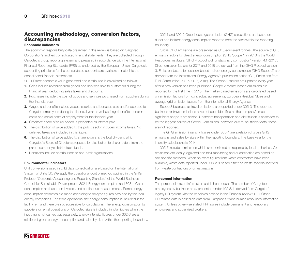## Accounting methodology, conversion factors, discrepancies

### Economic indicators

The economic responsibility data presented in this review is based on Cargotec Corporation's audited consolidated financial statements. They are collected through Cargotec's group reporting system and prepared in accordance with the International Financial Reporting Standards (IFRS) as endorsed by the European Union. Cargotec's accounting principles for the consolidated accounts are available in note 1 to the consolidated financial statements.

201-1 Direct economic value generated and distributed is calculated as follows:

- 1. Sales include revenues from goods and services sold to customers during the financial year, deducting sales taxes and discounts.
- 2. Purchases include the cost of goods and services purchased from suppliers during the financial year.
- 3. Wages and benefits include wages, salaries and bonuses paid and/or accrued to Cargotec employees during the financial year as well as fringe benefits, pension costs and social costs of employment for the financial year.
- 4. Creditors' share of value added is presented as interest paid.
- 5. The distribution of value added to the public sector includes income taxes. No deferred taxes are included in this figure.
- **6.** The distribution of value added to shareholders is the total dividend which Cargotec's Board of Directors proposes for distribution to shareholders from the parent company's distributable funds.
- **7.** Donations include contributions to non-profit organisations.

#### Environmental indicators

Unit conversions used in EHS data consolidation are based on the International System of Units (SI). We apply the operational control method outlined in the GHG Protocol "Corporate Accounting and Reporting Standard" of the World Business Council for Sustainable Development. 302-1 Energy consumption and 303-1 Water consumption are based on invoices and continuous measurements. Some energy consumption estimates are made according to delayed figures provided by the local energy companies. For some operations, the energy consumption is included in the facility rent and therefore not accessible for calculations. The energy consumption by suppliers or rental operations on Cargotec sites is included in total figures when the invoicing is not carried out separately. Energy intensity figures under 302-3 are a relation of gross energy consumption and sales by sites within the reporting boundary.

305-1 and 305-2 Greenhouse gas emission (GHG) calculations are based on direct and indirect energy consumption reported from the sites within the reporting boundary.

Gross GHG emissions are presented as CO $_2$  equivalent tonnes. The source of CO $_2$ emission factors for direct energy consumption (GHG Scope 1) in 2016 is the World Resources Institute's "GHG Protocol tool for stationary combustion" version 4.1 (2015). Direct emission factors for 2017 and 2018 are derived from the GHG Protocol version 3. Emission factors for location-based indirect energy consumption (GHG Scope 2) are derived from the International Energy Agency's publication series "CO $_{\tiny 2}$  Emissions from Fuel Combustion" (2016, 2017, 2018). The Scope 2 factors are updated every year after a new version has been published. Scope 2 market-based emissions are reported for the first time in 2018. The market-based emissions are calculated based on emission factors from contractual agreements, European Residual Mixes and average grid emission factors from the International Energy Agency.

Scope 3 business air travel emissions are reported under 305-3. The reported business air travel emissions have not been identified as the company's most significant scope 3 emissions. Upstream transportation and distribution is assessed to be the biggest source of Scope 3 emissions; however, due to insufficient data, these are not reported.

The GHG emission intensity figures under 305-4 are a relation of gross GHG emissions and sales by sites within the reporting boundary. The base year for the intensity calculations is 2014.

305-7 includes emissions which are monitored as required by local authorities. Air emissions are locally regulated and their monitoring and quantification are based on site-specific methods. When no exact figures from waste contractors have been available, waste data reported under 306-2 is based either on waste records received from waste contractors or on estimations.

#### Personnel information

The personnel-related information unit is head count. The number of Cargotec employees by business area, presented under 102-8, is derived from Cargotec's legacy HR system with the principles defined in the Financial review 2018. Other HR-related data is based on data from Cargotec's online human resources information system. Unless otherwise stated, HR figures include permanent and temporary employees and supervised workers.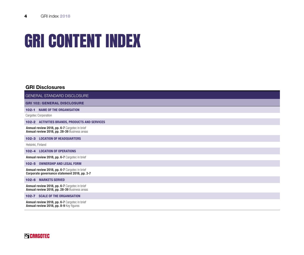# GRI CONTENT INDEX

## GRI Disclosures

GENERAL STANDARD DISCLOSURE

GRI 102: GENERAL DISCLOSURE

102-1 NAME OF THE ORGANISATION

Cargotec Corporation

102-2 ACTIVITIES BRANDS, PRODUCTS AND SERVICES

Annual review 2018, pp. 6-7 Cargotec in brief Annual review 2018, pp. 28-39 Business areas

102-3 LOCATION OF HEADQUARTERS

Helsinki, Finland

102-4 LOCATION OF OPERATIONS

Annual review 2018, pp. 6-7 Cargotec in brief

102-5 OWNERSHIP AND LEGAL FORM

Annual review 2018, pp. 6-7 Cargotec in brief Corporate governance statement 2018, pp. 3-7

102-6 MARKETS SERVED

Annual review 2018, pp. 6-7 Cargotec in brief Annual review 2018, pp. 28-39 Business areas

102-7 SCALE OF THE ORGANISATION

Annual review 2018, pp. 6-7 Cargotec in brief Annual review 2018, pp. 8-9 Key figures

## **SCARGOTEC**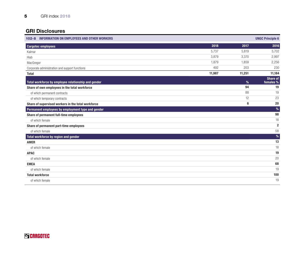| 102-8 INFORMATION ON EMPLOYEES AND OTHER WORKERS    |        |        | <b>UNGC Principle 6</b>      |
|-----------------------------------------------------|--------|--------|------------------------------|
| <b>Cargotec employees</b>                           | 2018   | 2017   | 2016                         |
| Kalmar                                              | 5,737  | 5,819  | 5,702                        |
| Hiab                                                | 3,879  | 3,370  | 2,997                        |
| MacGregor                                           | 1,879  | 1,859  | 2,256                        |
| Corporate administration and support functions      | 492    | 203    | 230                          |
| <b>Total</b>                                        | 11,987 | 11,251 | 11,184                       |
| Total workforce by employee relationship and gender |        | %      | <b>Share of</b><br>females % |
| Share of own employees in the total workforce       |        | 94     | 19                           |
| of which permanent contracts                        |        | 88     | 19                           |
| of which temporary contracts                        |        | 12     | 23                           |
| Share of supervised workers in the total workforce  |        | 6      | 20                           |
| Permanent employees by employment type and gender   |        |        | $\%$                         |
| Share of permanent full-time employees              |        |        | 98                           |
| of which female                                     |        |        | 18                           |
| Share of permanent part-time employees              |        |        | $\overline{2}$               |
| of which female                                     |        |        | 58                           |
| Total workforce by region and gender                |        |        | %                            |
| <b>AMER</b>                                         |        |        | 13                           |
| of which female                                     |        |        | 18                           |
| <b>APAC</b>                                         |        |        | 19                           |
| of which female                                     |        |        | 20                           |
| <b>EMEA</b>                                         |        |        | 68                           |
| of which female                                     |        |        | 19                           |
| <b>Total workforce</b>                              |        |        | 100                          |
| of which female                                     |        |        | 19                           |

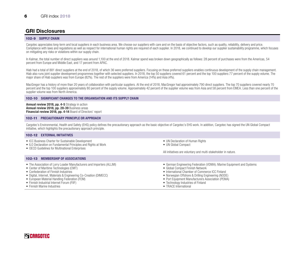#### 102-9 SUPPLY CHAIN

Cargotec appreciates long-term and local suppliers in each business area. We choose our suppliers with care and on the basis of objective factors, such as quality, reliability, delivery and price. Compliance with laws and regulations as well as respect for international human rights are required of each supplier. In 2018, we continued to develop our supplier sustainability programme, which focuses on mitigating any risks or violations within our supply chain.

In Kalmar, the total number of direct suppliers was around 1,100 at the end of 2018. Kalmar spend was broken down geographically as follows: 28 percent of purchases were from the Americas, 54 percent from Europe and Middle East, and 17 percent from APAC.

Hiab had a total of 881 direct suppliers at the end of 2018, of which 36 were preferred suppliers. Focusing on these preferred suppliers enables continuous development of the supply chain management. Hiab also runs joint supplier development programmes together with selected suppliers. In 2018, the top 50 suppliers covered 61 percent and the top 100 suppliers 77 percent of the supply volume. The major share of Hiab suppliers was from Europe (82%). The rest of the suppliers were from America (14%) and Asia (4%).

MacGregor has a history of more than 20 years of collaboration with particular suppliers. At the end of 2018, MacGregor had approximately 790 direct suppliers. The top 70 suppliers covered nearly 70 percent and the top 100 suppliers approximately 80 percent of the supply volume. Approximately 42 percent of the supplier volume was from Asia and 58 percent from EMEA. Less than one percent of the supplier volume was from North America.

#### 102-10 SIGNIFICANT CHANGES TO THE ORGANISATION AND ITS SUPPLY CHAIN

Annual review 2018, pp. 4-5 Strategy in action Annual review 2018, pp. 28-39 Business areas Financial review 2018, pp. 4-14 Board of Directors' report

#### 102-11 PRECAUTIONARY PRINCIPLE OR APPROACH

Cargotec's Environmental, Health and Safety (EHS) policy defines the precautionary approach as the basic objective of Cargotec's EHS work. In addition, Cargotec has signed the UN Global Compact initiative, which highlights the precautionary approach principle.

#### 102-12 EXTERNAL INITIATIVES

- ICC Business Charter for Sustainable Development
- ILO Declaration on Fundamental Principles and Rights at Work
- OECD Guidelines for Multinational Enterprises

#### 102-13 MEMBERSHIP OF ASSOCIATIONS

- The Association of Lorry Loader Manufacturers and Importers (ALLMI)
- Center of Maritime Technologies (CMT)
- Confederation of Finnish Industries
- Digital, Internet, Materials & Engineering Co-Creation (DIMECC)
- European Material Handling Federation (FEM)
- Finnish Industrial Internet Forum (FIIF)
- Finnish Marine Industries
- UN Declaration of Human Rights
- UN Global Compact

All initiatives are voluntary and multi-stakeholder in nature.

- German Engineering Federation (VDMA): Marine Equipment and Systems
- Global Compact Finnish Network
- International Chamber of Commerce ICC Finland
- Norwegian Offshore & Drilling Engineering (NODE)
- Port Equipment Manufacturers Association (PEMA)
- Technology Industries of Finland
- TRACE International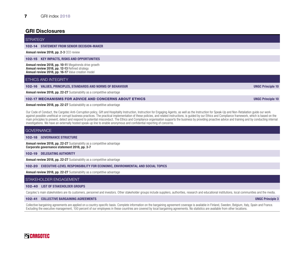#### 7 GRI index 2018

### GRI Disclosures

#### **STRATEGY**

#### 102-14 STATEMENT FROM SENIOR DECISION-MAKER

Annual review 2018, pp. 2-3 CEO review

102-15 KEY IMPACTS, RISKS AND OPPORTUNITIES

Annual review 2018, pp. 10-11 Megatrends drive growth Annual review 2018, pp. 12-13 Refined strategy Annual review 2018, pp. 16-17 Value creation model

#### ETHICS AND INTEGRITY

102-16 VALUES, PRINCIPLES, STANDARDS AND NORMS OF BEHAVIOUR UNGC Principle 10

Annual review 2018, pp. 22-27 Sustainability as a competitive advantage

#### 102-17 MECHANISMS FOR ADVICE AND CONCERNS ABOUT ETHICS UNGC Principle 10

Annual review 2018, pp. 22-27 Sustainability as a competitive advantage

Our Code of Conduct, the Cargotec Anti-Corruption policy, Gift and Hospitality Instruction, Instruction for Engaging Agents, as well as the Instruction for Speak-Up and Non-Retaliation guide our work against possible unethical or corrupt business practices. The practical implementation of these policies, and related instructions, is quided by our Ethics and Compliance framework, which is based on the main principles to prevent, detect and respond to potential misconduct. The Ethics and Compliance organisation supports the business by providing proactive advice and training and by conducting internal investigations. We have an externally hosted speak-up line to enable anonymous and confidential reporting of concerns.

#### **GOVERNANCE**

102-18 GOVERNANCE STRUCTURE

**Annual review 2018, pp. 22-27** Sustainability as a competitive advantage Corporate governance statement 2018, pp. 3-7

102-19 DELEGATING AUTHORITY

Annual review 2018, pp. 22-27 Sustainability as a competitive advantage

102-20 EXECUTIVE-LEVEL RESPONSIBILITY FOR ECONOMIC, ENVIRONMENTAL AND SOCIAL TOPICS

Annual review 2018, pp. 22-27 Sustainability as a competitive advantage

#### STAKEHOLDER ENGAGEMENT

#### 102-40 LIST OF STAKEHOLDER GROUPS

Cargotec's main stakeholders are its customers, personnel and investors. Other stakeholder groups include suppliers, authorities, research and educational institutions, local communities and the media.

#### 102-41 COLLECTIVE BARGAINING AGREEMENTS UNGC Principle 3

Collective bargaining agreements are applied on a country-specific basis. Complete information on the bargaining agreement coverage is available in Finland, Sweden, Belgium, Italy, Spain and France. Excluding the executive management, 100 percent of our employees in these countries are covered by local bargaining agreements. No statistics are available from other locations.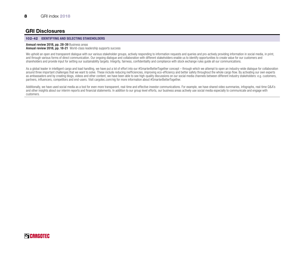#### 102-42 IDENTIFYING AND SELECTING STAKEHOLDERS

#### Annual review 2018, pp. 28-39 Business areas Annual review 2018, pp. 18-21 World-class leadership supports success

We uphold an open and transparent dialogue with our various stakeholder groups, actively responding to information requests and queries and pro-actively providing information in social media, in print, and through various forms of direct communication. Our ongoing dialogue and collaboration with different stakeholders enable us to identify opportunities to create value for our customers and shareholders and provide input for setting our sustainability targets. Integrity, fairness, confidentiality and compliance with stock exchange rules quide all our communications.

As a global leader in intelligent cargo and load handling, we have put a lot of effort into our #SmarterBetterTogether concept – through which we attempt to open an industry-wide dialogue for collaboration around three important challenges that we want to solve. These include reducing inefficiencies, improving eco-efficiency and better safety throughout the whole cargo flow. By activating our own experts as ambassadors and by creating blogs, videos and other content, we have been able to see high-quality discussions on our social media channels between different industry stakeholders: e.g. customers, partners, influencers, competitors and end-users. Visit cargotec.com/vig for more information about #SmarterBetterTogether.

Additionally, we have used social media as a tool for even more transparent, real-time and effective investor communications. For example, we have shared video summaries, infographs, real-time Q&A's and other insights about our interim reports and financial statements. In addition to our group level efforts, our business areas actively use social media especially to communicate and engage with customers.

## **Q** CARGOTEC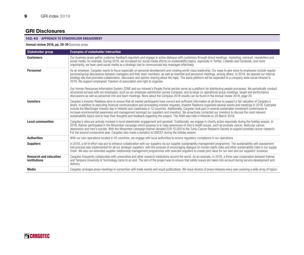#### 102-43 APPROACH TO STAKEHOLDER ENGAGEMENT

#### Annual review 2018, pp. 28-39 Business areas

| Stakeholder group                             | <b>Examples of stakeholder interaction</b>                                                                                                                                                                                                                                                                                                                                                                                                                                                                                                                                                                                                                                                                                                                                                                             |
|-----------------------------------------------|------------------------------------------------------------------------------------------------------------------------------------------------------------------------------------------------------------------------------------------------------------------------------------------------------------------------------------------------------------------------------------------------------------------------------------------------------------------------------------------------------------------------------------------------------------------------------------------------------------------------------------------------------------------------------------------------------------------------------------------------------------------------------------------------------------------------|
| <b>Customers</b>                              | Our business areas gather customer feedback regurlarly and engage in active dialogue with customers through direct meetings, marketing, extranet, newsletters and<br>social media, for example. During 2018, we increased our social media efforts on sustainability topics, especially in Twitter, Linkedin and Facebook, and more<br>importantly, we have used social media as a strategic tool to communicate key messages effectively.                                                                                                                                                                                                                                                                                                                                                                             |
| <b>Personnel</b>                              | As an employer, Cargotec wants to focus especially on personal development and creating world-class leadership. Our ways to give voice to employees include regular<br>personal/group discussions between managers and their team members, as well as townhall and personnel meetings, among others. In 2018, we opened our internal<br>strategy site that promotes collaboration, discussion and opinion sharing about the topic. The same platform will be expanded to a company-wide social intranet in<br>2019. We support employees' freedom of association and right to organise.                                                                                                                                                                                                                                |
|                                               | Our Human Resources Information System ZONE and our intranet's People Portal section serve as a platform for distributing people processes. We periodically conduct<br>structured surveys with our employees, such as our employee satisfaction survey Compass, and arrange co-operational group meetings, target and performance<br>discussions as well as personnel info and team meetings. More about the Compass 2018 results can be found in the Annual review 2018, page 20,                                                                                                                                                                                                                                                                                                                                     |
| <b>Investors</b>                              | Cargotec's Investor Relations aims to ensure that all market participants have correct and sufficient information at all times to support a fair valuation of Cargotec's<br>share. In addition to executing financial communication and proceeding investor requests, Investor Relations organised several events and meetings in 2018. Examples<br>include the MacGregor investor day in Helsinki and roadshows in 12 countries. Additionally, Cargotec took part in several sustainable investment conferences to<br>increase environmental awareness and management amongst our suppliers and investors. We proactively contacted our investors to discuss the most relevant<br>sustainability topics and to hear their thoughts and feedback regarding the subject. The AGM was held in Helsinki on 20 March 2018. |
| <b>Local communities</b>                      | Cargotec's sites are actively involved in local stakeholder engagement and goodwill. Traditionally, we engage in charity action especially during the holiday season. In<br>2018, Kalmar participated in the Movember campaign which purpose is to raise awareness of men's health issues, such as prostate cancer, testicular cancer,<br>depression and men's suicide. With the Movember campaign Kalmar donated EUR 10,000 to the Turku Cancer Research Society to support prostate cancer research.<br>For the second consecutive year, Cargotec also made a donation to UNICEF during the holiday season.                                                                                                                                                                                                          |
| <b>Authorities</b>                            | With our own operations located in 45 countries, we engage with local authorities to ensure regulatory compliance in our operations.                                                                                                                                                                                                                                                                                                                                                                                                                                                                                                                                                                                                                                                                                   |
| <b>Suppliers</b>                              | In 2018, a lof of effort was put to enhance collaboration with our suppiers via our supplier sustainability management programme. The sustainability self-assessment<br>tool process was implemented for all our strategic suppliers, with the purpose of encouraging dialogue on human rights risks and other sustainability risks in our supply<br>chain. We also ran extended supplier relationship management programmes with selected suppliers to create joint value for our own and our suppliers' business.                                                                                                                                                                                                                                                                                                    |
| <b>Research and education</b><br>institutions | Cargotec frequently collaborates with universities and other research institutions around the world. As an example, in 2018, a three-year cooperation between Kalmar<br>and Tampere University of Technology came to an end. The aim of the project was to ensure that safety issues are taken into account during service development and<br>delivery.                                                                                                                                                                                                                                                                                                                                                                                                                                                                |
| Media                                         | Cargotec arranges press meetings in connection with trade events and result publications. We issue dozens of press releases every year covering a wide array of topics.                                                                                                                                                                                                                                                                                                                                                                                                                                                                                                                                                                                                                                                |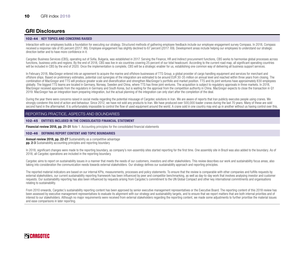#### 102-44 KEY TOPICS AND CONCERNS RAISED

Interaction with our employees builds a foundation for executing our strategy. Structured methods of gathering employee feedback include our employee engagement survey Compass. In 2018, Compass received a response rate of 85 percent (2017: 86). Employee engagement has slightly declined to 67 percent (2017: 69). Development areas include helping our employees to understand our strategic direction better and to have more confidence in it.

Cargotec Business Services (CBS), operating out of Sofia, Bulgaria, was established in 2017. Serving the Finance, HR and Indirect procurement functions, CBS works to harmonise global processes across functions, business units and regions. By the end of 2018, CBS was live in six countries covering 25 percent of our total headcount. According to the current road map, all significant operating countries will be included in CBS by the end of 2020. Once the implementation is complete, CBS will be a strategic enabler for us, establishing one common way of delivering all business support services.

In February 2018, MacGregor entered into an agreement to acquire the marine and offshore businesses of TTS Group, a global provider of cargo handling equipment and services for merchant and offshore ships. Based on preliminary estimates, potential cost synergies of the integration are estimated to be around EUR 30-35 million on annual level and reached within three years from closing. The combination of MacGregor and TTS will produce greater scale and diversification and strengthen MacGregor's portfolio and market position. TTS and its joint ventures have approximately 830 employees globally. The biggest TTS teams are located in Germany, Norway, Sweden and China, where TTS has three joint ventures. The acquisition is subject to regulatory approvals in three markets. In 2018, MacGregor received approvals from the regulators in Germany and South Korea, but is waiting for the approval from the competition authority in China. MacGregor expects to close the transaction in Q1 2019. MacGregor has an integration team preparing integration, but the actual planning of the integration can only start after the completion of the deal.

During the year there were concerns raised in social media regarding the potential misusage of Cargotec solutions in Iran. We are aware of reports that Iran publicly executes people using cranes. We strongly condemn this kind of action and behaviour. Since 2012, we have not sold any products to Iran. We have produced over 500,000 loader cranes during the last 70 years. Many of these are sold second hand in the aftermarket. It is unfortunately impossible to control the flow of used equipment around the world. A crane sold in one country may end up in another without us having control over this.

#### REPORTING PRACTICE, ASPECTS AND BOUNDARIES

102-45 ENTITIES INCLUDED IN THE CONSOLIDATED FINANCIAL STATEMENT

Financial review 2018, pp. 21-31 Note 1. Accounting principles for the consolidated financial statements

#### 102-46 DEFINING REPORT CONTENT AND TOPIC BOUNDARIES

Annual review 2018, pp. 22-27 Sustainability as a competitive advantage **pp. 2-3** Sustainability accounting principles and reporting boundary

In 2018, significant changes were made to the reporting boundary, as company's non-assembly sites started reporting for the first time. One assembly site in Brazil was also added to the boundary. As of 2018, all Cargotec operations are included in the reporting boundary.

Cargotec aims to report on sustainability issues in a manner that meets the needs of our customers, investors and other stakeholders. This review describes our work and sustainability focus areas, also taking into consideration the communication needs towards external stakeholders. Our strategy defines our sustainability approach and reporting principles.

The reported material indicators are based on our internal KPIs, measurements, processes and policy statements. To ensure that the review is comparable with other companies and fulfills requests by external stakeholders, our current sustainability reporting framework has been influenced by peer and competitor benchmarking, as well as day-to-day work that involves analysing investor and customer requests. Our sustainability reporting has also been influenced by requests arising from Cargotec's commitment to the UN Global Compact and other key international commitments and organisations relating to sustainability.

From 2010 onwards, Cargotec's sustainability reporting content has been approved by senior executive management representatives or the Executive Board. The reporting content of this 2018 review has been assessed by executive management representatives to evaluate its alignment with our strategy and sustainability targets, and to ensure that we report matters that are both internal priorities and of interest to our stakeholders. Although no major requirements were received from external stakeholders regarding the reporting content, we made some adjustments to further prioritise the material issues and ease comparisons in later reporting.

## **Q** CARGOTEC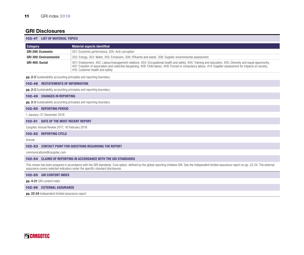|                 | <b>102-47 LIST OF MATERIAL TOPICS</b>         |                                                                                                                                                                                                                                                                                                                                                               |
|-----------------|-----------------------------------------------|---------------------------------------------------------------------------------------------------------------------------------------------------------------------------------------------------------------------------------------------------------------------------------------------------------------------------------------------------------------|
| <b>Category</b> |                                               | <b>Material aspects identified</b>                                                                                                                                                                                                                                                                                                                            |
|                 | <b>GRI 200: Economic</b>                      | 201: Economic performance, 205: Anti-corruption                                                                                                                                                                                                                                                                                                               |
|                 | <b>GRI 300: Environmental</b>                 | 302: Energy, 303: Water, 305: Emissions, 306: Effluents and waste, 308: Supplier environmental assessment                                                                                                                                                                                                                                                     |
| GRI 400: Social |                                               | 401: Employment, 402: Labour/management relations, 403: Occupational health and safety, 404: Training and education, 405: Diversity and equal opportunity,<br>407: Freedom of association and collective bargaining, 408: Child labour, 409: Forced or compulsory labour, 414: Supplier assessment for impacts on society.<br>416: Customer health and safety |
|                 |                                               | <b>pp. 2-3</b> Sustainability accounting principles and reporting boundary                                                                                                                                                                                                                                                                                    |
|                 | <b>102-48 RESTATEMENTS OF INFORMATION</b>     |                                                                                                                                                                                                                                                                                                                                                               |
|                 |                                               | pp. 2-3 Sustainability accounting principles and reporting boundary                                                                                                                                                                                                                                                                                           |
|                 | <b>102-49 CHANGES IN REPORTING</b>            |                                                                                                                                                                                                                                                                                                                                                               |
|                 |                                               | pp. 2-3 Sustainability accounting principles and reporting boundary                                                                                                                                                                                                                                                                                           |
|                 | 102-50 REPORTING PERIOD                       |                                                                                                                                                                                                                                                                                                                                                               |
|                 | 1 January-31 December 2018                    |                                                                                                                                                                                                                                                                                                                                                               |
|                 | <b>102-51 DATE OF THE MOST RECENT REPORT</b>  |                                                                                                                                                                                                                                                                                                                                                               |
|                 | Cargotec Annual Review 2017, 16 February 2018 |                                                                                                                                                                                                                                                                                                                                                               |
|                 | 102-52 REPORTING CYCLE                        |                                                                                                                                                                                                                                                                                                                                                               |
| Annual          |                                               |                                                                                                                                                                                                                                                                                                                                                               |
|                 |                                               | <b>102-53 CONTACT POINT FOR QUESTIONS REGARDING THE REPORT</b>                                                                                                                                                                                                                                                                                                |
|                 | communications@cargotec.com                   |                                                                                                                                                                                                                                                                                                                                                               |
|                 |                                               | <b>102-54 CLAIMS OF REPORTING IN ACCORDANCE WITH THE GRI STANDARDS</b>                                                                                                                                                                                                                                                                                        |
|                 |                                               | This review has been prepared in accordance with the GRI standards: Core option, defined by the global reporting initiative GRI. See the Independent limited assurance report on pp. 22-24. The external<br>assurance covers selected indicators under the specific standard disclosures.                                                                     |
|                 | <b>100 EE CDI CONTENT INDEV</b>               |                                                                                                                                                                                                                                                                                                                                                               |

| <b>102-55 GRI CONTENT INDEX</b>  |
|----------------------------------|
| pp. 4-21 GRI content index       |
| <b>102-56 EXTERNAL ASSURANCE</b> |

pp. 22-24 Independent limited assurance report

## **SCARGOTEC**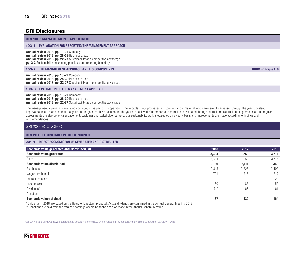#### GRI 103: MANAGEMENT APPROACH

#### 103-1 EXPLANATION FOR REPORTING THE MANAGEMENT APPROACH

Annual review 2018, pp. 10-21 Company Annual review 2018, pp. 28-39 Business areas Annual review 2018, pp. 22-27 Sustainability as a competitive advantage **pp. 2-3** Sustainability accounting principles and reporting boundary

#### 103-2 THE MANAGEMENT APPROACH AND ITS COMPONENTS UNGC Principle 1, 8

Annual review 2018, pp. 10-21 Company Annual review 2018, pp. 28-39 Business areas Annual review 2018, pp. 22-27 Sustainability as a competitive advantage

#### 103-3 EVALUATION OF THE MANAGEMENT APPROACH

Annual review 2018, pp. 10-21 Company Annual review 2018, pp. 28-39 Business areas Annual review 2018, pp. 22-27 Sustainability as a competitive advantage

The management approach is evaluated continuously as part of our operation. The impacts of our processes and tools on all our material topics are carefully assessed through the year. Constant improvements are made, so that the goals and targets that have been set for the year are achieved. Our processes and tools are evaluated through internal and external auditing processes and regular assessments are also done via engagement, customer and stakeholder surveys. Our sustainability work is evaluated on a yearly basis and improvements are made according to findings and recommendations.

#### GRI 200: ECONOMIC

#### GRI 201: ECONOMIC PERFORMANCE

#### 201-1 DIRECT ECONOMIC VALUE GENERATED AND DISTRIBUTED

| <b>Economic value generated and distributed, MEUR</b>                                                                               | 2018                     | 2017                     | 2016  |
|-------------------------------------------------------------------------------------------------------------------------------------|--------------------------|--------------------------|-------|
| <b>Economic value generated</b>                                                                                                     | 3,304                    | 3,250                    | 3,514 |
| Sales                                                                                                                               | 3,304                    | 3,250                    | 3,514 |
| <b>Economic value distributed</b>                                                                                                   | 3,136                    | 3,111                    | 3,350 |
| Purchases                                                                                                                           | 2,315                    | 2,223                    | 2,495 |
| Wages and benefits                                                                                                                  | 701                      | 715                      | 717   |
| Interest expenses                                                                                                                   | 20                       | 19                       | 22    |
| Income taxes                                                                                                                        | 30                       | 86                       | 55    |
| Dividends*                                                                                                                          | $71*$                    | 68                       | 61    |
| Donations**                                                                                                                         | $\overline{\phantom{a}}$ | $\overline{\phantom{a}}$ |       |
| <b>Economic value retained</b>                                                                                                      | 167                      | 139                      | 164   |
| * Dividende in 2010 are beend on the Deard of Directors' proposal Actual dividende are confirmed in the Annual Conoral Meeting 2010 |                          |                          |       |

\* Dividends in 2018 are based on the Board of Directors' proposal. Actual dividends are confirmed in the Annual General Meeting 2019.

\*\* Donations are paid from the retained earnings according to the decision made in the Annual General Meeting.

Year 2017 financial figures have been restated according to the new and amended IFRS accounting principles adopted on January 1, 2018.

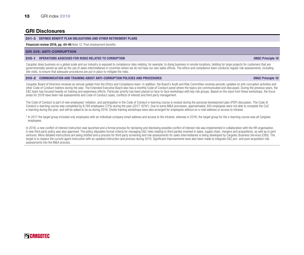#### 201-3 DEFINED BENEFIT PLAN OBLIGATIONS AND OTHER RETIREMENT PLANS

#### Financial review 2018, pp. 44-46 Note 12. Post employment benefits

#### GRI 205: ANTI-CORRUPTION

#### 205-1 OPERATIONS ASSESSED FOR RISKS RELATED TO CORRUPTION UNGC Principle 10

Cargotec does business on a global scale and our industry is exposed to compliance risks relating, for example, to doing business in remote locations, bidding for large projects for customers that are governmentally owned as well as the use of sales intermediaries in countries where we do not have our own sales offices. The ethics and compliance team conducts regular risk assessments, including site visits, to ensure that adequate procedures are put in place to mitigate the risks.

#### 205-2 COMMUNICATION AND TRAINING ABOUT ANTI-CORRUPTION POLICIES AND PROCEDURES UNGC Principle 10

Cargotec Board of Directors receives an annual update from the Ethics and Compliance team. In addition, the Board's Audit and Risk Committee receives periodic updates on anti-corruption activities and other Code of Conduct matters during the year. The Extended Executive Board also has a monthly Code of Conduct panel where the topics are communicated and discussed. During the previous years, the E&C team has focused heavily on training and awareness efforts. Particular priority has been placed on face-to-face workshops with key risk groups. Based on the input from these workshops, the focus areas for 2018 have been risk assessments and Code of Conduct cases, conflicts of interest and third party management.

The Code of Conduct is part of new employees' initiation, and participation in the Code of Conduct e-learning course is revised during the personal development plan (PDP) discussion. The Code of Conduct e-learning course was completed by 8,748 employees (72%) during the year (2017: 82%\*). Due to some M&A processes, approximately 300 employees were not able to complete the CoC e-learning during the year, and will be asked to do so during 2019. Onsite training workshops were also arranged for employees without an e-mail address or access to intranet.

\* In 2017 the target group included only employees with an individual company email address and access to the intranet, whereas in 2018, the target group for the e-learning course was all Cargotec employees.

In 2018, a new conflict of interest instruction was launched and a formal process for declaring and disclosing possible conflict of interest risk was implemented in collaboration with the HR organisation. A new third party policy was also approved. The policy stipulates formal criteria for managing E&C risks relating to third parties involved in sales, supply chain, mergers and acquisitions, as well as in joint ventures. More detailed instructions are being drafted and a process for third party screening and risk assessments for sales intermediaries is being developed by Cargotec Business Services (CBS). The target is to replace the current agent instruction with an updated instruction and process during 2019. Significant improvements have also been made to integrate E&C pre- and post-acquisition risk assessments into the M&A process.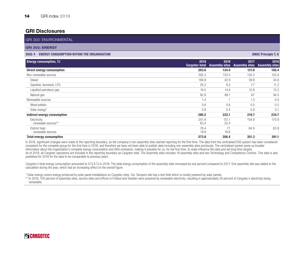| <b>GRI 300: ENVIRONMENTAL</b>                                  |                               |                               |                               |                               |
|----------------------------------------------------------------|-------------------------------|-------------------------------|-------------------------------|-------------------------------|
| <b>GRI 302: ENERGY</b>                                         |                               |                               |                               |                               |
| <b>ENERGY CONSUMPTION WITHIN THE ORGANISATION</b><br>$302 - 1$ |                               |                               |                               | <b>UNGC Principle 7, 8</b>    |
| <b>Energy consumption, TJ</b>                                  | 2018<br><b>Cargotec total</b> | 2018<br><b>Assembly sites</b> | 2017<br><b>Assembly sites</b> | 2016<br><b>Assembly sites</b> |
| Direct energy consumption                                      | 293.6                         | 134.4                         | 131.6                         | 156.4                         |
| Non-renewable sources                                          | 292.3                         | 133.4                         | 130.3                         | 155.9                         |
| Diesel                                                         | 166.9                         | 42.9                          | 39.8                          | 34.9                          |
| Gasoline, kerosene, LFO                                        | 26.2                          | 9.5                           | 7.7                           | 11.2                          |
| Liquified petroleum gas                                        | 16.5                          | 14.9                          | 15.8                          | 15.3                          |
| Natural gas                                                    | 82.8                          | 66.1                          | 67                            | 94.5                          |
| Renewable sources                                              | 1.4                           |                               | 1.3                           | 0.5                           |
| Wood pellets                                                   | 0.6                           | 0.6                           | 0.5                           | 0.5                           |
| Solar energy*                                                  | 0.8                           | 0.4                           | 0.8                           | 0.1                           |
| Indirect energy consumption                                    | 280.2                         | 222.1                         | 219.7                         | 234.7                         |
| Electricity<br>- renewable sources**                           | 201.8<br>63.4                 | 151.1<br>52.4                 | 154.8                         | 170.9                         |
| District heat<br>- renewable sources                           | 78.4<br>19.6                  | 71<br>19.6                    | 64.9                          | 63.8                          |
| <b>Total energy consumption</b>                                | 573.8                         | 356.4                         | 351.3                         | 391.1                         |

In 2018, significant changes were made to the reporting boundary, as the company's non-assembly sites started reporting for the first time. The data from the centralised EHS system has been considered consistent for the complete group for the first time in 2018, and therefore we have not been able to publish data including non-assembly sites previously. The centralised system gives us broader information about the organisation's complete energy consumption and GHG emissions, making it possible for us, for the first time, to really influence the data and set long time targets. As of 2018, all Cargotec operations are included in the reporting boundary as Cargotec total. The Assembly sites includes 18 assembly sites and two Technology and Competence Centres. This data is also published for 2018 for the data to be comparable to previous years.

Cargotec's total energy consumption amounted to 573.8 TJ in 2018. The total energy consumption of the assembly sites increased by one percent compared to 2017. One assembly site was added to the calculation during the year, which had an increasing effect on the overall figure.

\* Solar energy covers energy produced by solar panel installations on Cargotec sites. Our Tampere site has a test field which is mostly powered by solar panels.

\*\* In 2018, 100 percent of assembly sites, service sites and offices in Finland and Sweden were powered by renewable electricity, resulting in approximately 30 percent of Cargotec's electricity being renewable.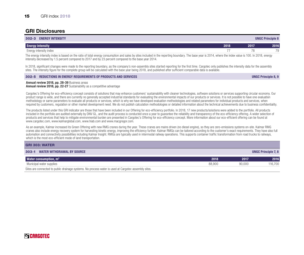| <b>ENERGY INTENSITY</b><br>$302 - 3$ |      |      | <b>UNGC Principle 8</b> |
|--------------------------------------|------|------|-------------------------|
| <b>Energy intensity</b>              | 2018 | 2017 | 2016                    |
| Energy intensity index               |      |      | 79<br>ت -               |

The energy intensity index is based on the ratio of total energy consumption and sales by sites included in the reporting boundary. The base year is 2014, where the index value is 100. In 2018, energy intensity decreased by 1.5 percent compared to 2017 and by 23 percent compared to the base year 2014.

In 2018, significant changes were made to the reporting boundary, as the company's non-assembly sites started reporting for the first time. Cargotec only publishes the intensity data for the assembly sites. The intensity figure for the complete group will be calculated with the base year being 2018, and published after sufficient comparable data is available.

#### 302-5 REDUCTIONS IN ENERGY REQUIREMENTS OF PRODUCTS AND SERVICES UNGC Principle 8, 9

#### Annual review 2018, pp. 28-39 Business areas

Annual review 2018, pp. 22-27 Sustainability as a competitive advantage

Cargotec's Offering for eco-efficiency concept consists of solutions that may enhance customers' sustainability with cleaner technologies, software solutions or services supporting circular economy. Our product range is wide, and there are currently no generally accepted industrial standards for evaluating the environmental impacts of our products or services. It is not possible to have one evaluation methodology or same parameters to evaluate all products or services, which is why we have developed evaluation methodologies and related parameters for individual products and services, when required by customers, requiation or other market development need. We do not publish calculation methodologies or detailed information about the technical achievements due to business confidentiality.

The products listed under this GRI indicator are those that have been included in our Offering for eco-efficiency portfolio. In 2018, 17 new products/solutions were added to the portfolio. All products included in the portfolio are audited externally by DNV GL, and the audit process is conducted once a year to quarantee the reliability and transparency of the eco-efficiency offering. A wider selection of products and services that help to mitigate environmental burden are presented in Cargotec's Offering for eco-efficiency concept. More information about our eco-efficient offering can be found at www.cargotec.com, www.kalmarglobal.com, www.hiab.com and www.macgregor.com.

As an example, Kalmar increased its Green Offering with new RMG cranes during the year. These cranes are mains driven (no diesel engine), so they are zero-emissions systems on-site. Kalmar RMG cranes also include energy recovery system for harvesting kinetic energy, improving the efficiency further. Kalmar RMGs can be tailored according to the customer's exact requirements. They have also full automation and connectivity possibilities including Kalmar Insight. RMGs are typically used in intermodal railway operations. This supports container traffic transformation from road trucks to railways, which is the most eco-efficient mode of land transportation.

#### GRI 303: WATER

| $303 - 1$<br><b>WATER WITHDRAWAL BY SOURCE</b>                                                      |        |        | <b>UNGC Principle 7, 8</b> |
|-----------------------------------------------------------------------------------------------------|--------|--------|----------------------------|
| <b>Water consumption, m<sup>3</sup></b>                                                             | 2018   | 2017   | 2016                       |
| Municipal water supplies                                                                            | 88.900 | 90.000 | 116,700                    |
| Citae are connected to public drainage eveteme. No process water is used at Carontec assembly sites |        |        |                            |

ic drainage systems. No process water is used at Cargotec assei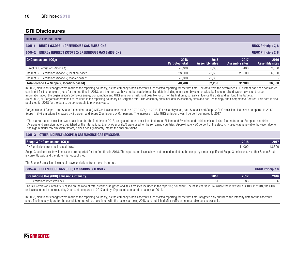| <b>GRI 305: EMISSIONS</b>                                                                                                                                                                                                     |                               |                               |                               |                               |
|-------------------------------------------------------------------------------------------------------------------------------------------------------------------------------------------------------------------------------|-------------------------------|-------------------------------|-------------------------------|-------------------------------|
| DIRECT (SCOPE 1) GREENHOUSE GAS EMISSIONS<br>$305 - 1$                                                                                                                                                                        |                               |                               |                               | <b>UNGC Principle 7, 8</b>    |
| <b>ENERGY INDIRECT (SCOPE 2) GREENHOUSE GAS EMISSIONS</b><br>$305 - 2$                                                                                                                                                        |                               |                               |                               | <b>UNGC Principle 7, 8</b>    |
| GHG emissions, tCO <sub>-</sub> e                                                                                                                                                                                             | 2018<br><b>Cargotec total</b> | 2018<br><b>Assembly sites</b> | 2017<br><b>Assembly sites</b> | 2016<br><b>Assembly sites</b> |
| Direct GHG emissions (Scope 1)                                                                                                                                                                                                | 20.100                        | 8,600                         | 8,400                         | 9.800                         |
| Indirect GHG emissions (Scope 2) location-based                                                                                                                                                                               | 28.600                        | 23.600                        | 23,500                        | 26,300                        |
| Indirect GHG emissions (Scope 2) market-based*                                                                                                                                                                                | 28.100                        | 22,300                        |                               |                               |
| Total (Scope 1 + Scope 2, location-based)                                                                                                                                                                                     | 48.700                        | 32,200                        | 31,900                        | 36,000                        |
| 1. AAAA - Straff could be considered to a considerable considered to a considered the considered that the second that the considered the considered to a considered to a considered to a second considered to a considered to |                               |                               |                               |                               |

In 2018, significant changes were made to the reporting boundary, as the company's non-assembly sites started reporting for the first time. The data from the centralised EHS system has been considered consistent for the complete group for the first time in 2018, and therefore we have not been able to publish data including non-assembly sites previously. The centralised system gives us broader information about the organisation's complete energy consumption and GHG emissions, making it possible for us, for the first time, to really influence the data and set long time targets. As of 2018, all Cargotec operations are included in the reporting boundary as Cargotec total. The Assembly sites includes 18 assembly sites and two Technology and Competence Centres. This data is also published for 2018 for the data to be comparable to previous years.

Cargotec's total Scope 1 and Scope 2 (location-based) GHG emissions amounted to 48,700 tCO<sub>2</sub>e in 2018. For assembly sites, both Scope 1 and Scope 2 GHG emissions increased compared to 2017. Scope 1 GHG emissions increased by 2 percent and Scope 2 emissions by 0.4 percent. The increase in total GHG emissions was 1 percent compared to 2017.

\* The market-based emissions were calculated for the first time in 2018, using contractual emissions factors for Finland and Sweden, and residual mix emission factors for other European countries. Average grid emission factors published by the International Energy Agency (IEA) were used for the remaining countries. Approximately 30 percent of the electricity used was renewable; however, due to the high residual mix emission factors, it does not significantly impact the final emissions.

#### 305-3 OTHER INDIRECT (SCOPE 3) GREENHOUSE GAS EMISSIONS

| ω۵<br>Scop.<br>luu.e                          | 2018  | 2017                                    |
|-----------------------------------------------|-------|-----------------------------------------|
| GHG<br>air trave<br>business<br>$\cdots$ nnum | 1,000 | $\sim$ 000<br>$. \cup. \cup \cup \cdot$ |

Scope 3 business air travel emissions are reported for the first time in 2018. The reported emissions have not been identified as the company's most significant Scope 3 emissions. No other Scope 3 data is currently valid and therefore it is not published.

The Scope 3 emissions include air travel emissions from the entire group.

| $305 - 4$<br><b>GREENHOUSE GAS (GHG) EMISSIONS INTENSITY</b> |      |      | <b>UNGC Principle 8</b> |
|--------------------------------------------------------------|------|------|-------------------------|
| <b>Greenhouse Gas (GHG) emissions intensity</b>              | 2018 | 2017 | 2016                    |
| GHG emissions intensity index                                |      |      | 86                      |

The GHG emissions intensity is based on the ratio of total greenhouse gases and sales by sites included in the reporting boundary. The base year is 2014, where the index value is 100. In 2018, the GHG emissions intensity decreased by 2 percent compared to 2017 and by 19 percent compared to base year 2014.

In 2018, significant changes were made to the reporting boundary, as the company's non-assembly sites started reporting for the first time. Cargotec only publishes the intensity data for the assembly sites. The intensity figure for the complete group will be calculated with the base year being 2018, and published after sufficient comparable data is available.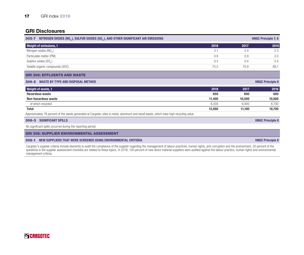| NITROGEN OXIDES (NO <sub>x</sub> ), SULFUR OXIDES (SO <sub>x</sub> ), AND OTHER SIGNIFICANT AIR EMISSIONS<br>$305 - 7$                |        |        | <b>UNGC Principle 7, 8</b> |
|---------------------------------------------------------------------------------------------------------------------------------------|--------|--------|----------------------------|
| <b>Weight of emissions, t</b>                                                                                                         | 2018   | 2017   | 2016                       |
| Nitrogen oxides $(NO_x)$                                                                                                              | 2.1    | 2.4    | 2.3                        |
| Particulate matter (PM)                                                                                                               | 0.9    | 0.9    | 2.0                        |
| Sulphur oxides (SO <sub>v</sub> )                                                                                                     | 0.3    | 0.4    | 0.4                        |
| Volatile organic compounds (VOC)                                                                                                      | 75.5   | 70.9   | 66.1                       |
| <b>GRI 306: EFFLUENTS AND WASTE</b>                                                                                                   |        |        |                            |
| <b>WASTE BY TYPE AND DISPOSAL METHOD</b><br>$306 - 2$                                                                                 |        |        | <b>UNGC Principle 8</b>    |
| <b>Weight of waste, t</b>                                                                                                             | 2018   | 2017   | 2016                       |
| <b>Hazardous waste</b>                                                                                                                | 650    | 600    | 600                        |
| Non-hazardous waste                                                                                                                   | 11,400 | 10,500 | 10,000                     |
| of which recycled                                                                                                                     | 9,300  | 9,400  | 8,700                      |
| <b>Total</b>                                                                                                                          | 12,050 | 11,100 | 10,700                     |
| Approximately 78 percent of the waste generated at Cargotec sites is metal, aluminum and wood waste, which have high recycling value. |        |        |                            |
| <b>SIGNIFICANT SPILLS</b><br>$306 - 3$                                                                                                |        |        | <b>UNGC Principle 8</b>    |
| No significant spills occurred during the reporting period.                                                                           |        |        |                            |
| <b>GRI 308: SUPPLIER ENVIRONMENTAL ASSESSMENT</b>                                                                                     |        |        |                            |

308-1 NEW SUPPLIERS THAT WERE SCREENED USING ENVIRONMENTAL CRITERIA UNGC Principle 8

Cargotec's supplier criteria include elements to audit the compliance of the supplier regarding the management of labour practices, human rights, anti-corruption and the environment. 20 percent of the questions in the supplier assessment checklist are related to these topics. In 2018, 100 percent of new direct material suppliers were audited against the labour practice, human rights and environmental management criteria.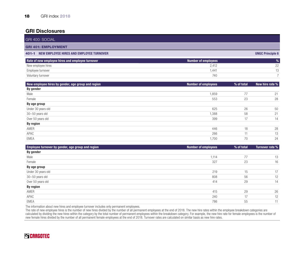|                            |                            | <b>UNGC Principle 6</b> |
|----------------------------|----------------------------|-------------------------|
| <b>Number of employees</b> |                            | $\%$                    |
| 2,412                      |                            | 22                      |
| 1,441                      |                            | 13                      |
| 740                        |                            | $\overline{7}$          |
|                            |                            |                         |
|                            |                            | New hire rate %         |
|                            |                            |                         |
| 1,859                      | 77                         | 21                      |
| 553                        | 23                         | 28                      |
|                            |                            |                         |
| 625                        | 26                         | 50                      |
| 1,388                      | 58                         | 21                      |
| 399                        | 17                         | 14                      |
|                            |                            |                         |
| 446                        | 18                         | 28                      |
| 266                        | 11                         | 13                      |
| 1,700                      | 70                         | 24                      |
|                            | <b>Number of employees</b> | % of total              |

| <b>Employee turnover by gender, age group and region</b> | <b>Number of employees</b> | % of total | Turnover rate % |
|----------------------------------------------------------|----------------------------|------------|-----------------|
| By gender                                                |                            |            |                 |
| Male                                                     | 1,114                      | 77         | 13              |
| Female                                                   | 327                        | 23         | 16              |
| By age group                                             |                            |            |                 |
| Under 30 years old                                       | 219                        | 15         | 17              |
| 30-50 years old                                          | 808                        | 56         | 12              |
| Over 50 years old                                        | 414                        | 29         | 14              |
| <b>By region</b>                                         |                            |            |                 |
| AMER                                                     | 415                        | 29         | 26              |
| APAC                                                     | 240                        | 17         | 12              |
| EMEA                                                     | 786                        | 55         | 11              |

The information about new hires and employee turnover includes only permanent employees.

The rate of new employee hires is the number of new hires divided by the number of all permanent employees at the end of 2018. The new hire rates within the employee breakdown categories are calculated by dividing the new hires within the category by the total number of permanent employees within the breakdown category. For example, the new hire rate for female employees is the number of new female hires divided by the number of all permanent female employees at the end of 2018. Turnover rates are calculated on similar basis as new hire rates.

## **SCARGOTEC**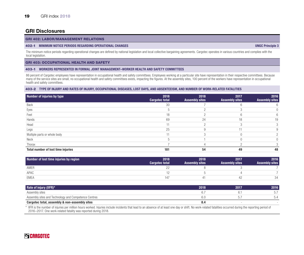#### GRI 402: LABOR/MANAGEMENT RELATIONS

#### 402-1 MINIMUM NOTICE PERIODS REGARDING OPERATIONAL CHANGES UNGC Principle 3

The minimum notice periods regarding operational changes are defined by national legislation and local collective bargaining agreements. Cargotec operates in various countries and complies with the local legislation.

GRI 403: OCCUPATIONAL HEALTH AND SAFETY

#### 403-1 WORKERS REPRESENTED IN FORMAL JOINT MANAGEMENT–WORKER HEALTH AND SAFETY COMMITTEES

86 percent of Cargotec employees have representation in occupational health and safety committees. Employees working at a particular site have representation in their respective committees. Because many of the service sites are small, no occupational health and safety committees exists, impacting the figures. At the assembly sites, 100 percent of the workers have representation in occupational health and safety committees.

#### 403-2 TYPE OF INJURY AND RATES OF INJURY, OCCUPATIONAL DISEASES, LOST DAYS, AND ABSENTEEISM, AND NUMBER OF WORK-RELATED FATALITIES

| Number of injuries by type                | 2018<br><b>Cargotec total</b> | 2018<br><b>Assembly sites</b> | 2017<br><b>Assembly sites</b> | 2016<br><b>Assembly sites</b> |
|-------------------------------------------|-------------------------------|-------------------------------|-------------------------------|-------------------------------|
| Back                                      | 30                            |                               |                               |                               |
| Eyes                                      |                               |                               |                               |                               |
| Feet                                      | 18                            |                               |                               |                               |
| Hands                                     | 69                            | 24                            | 18                            | 19.                           |
| Head                                      | 11                            |                               |                               |                               |
| Legs                                      | 25                            |                               |                               |                               |
| Multiple parts or whole body              |                               |                               |                               |                               |
| Neck                                      |                               |                               |                               |                               |
| Thorax                                    |                               |                               |                               |                               |
| <b>Total number of lost time injuries</b> | 181                           | 54                            | 49                            | 48                            |

| Number of lost time injuries by region | 2018<br>Cargotec total | 2018<br><b>Assembly sites</b> | 2017<br><b>Assembly sites</b> | 2016<br><b>Assembly sites</b> |
|----------------------------------------|------------------------|-------------------------------|-------------------------------|-------------------------------|
| AMER                                   |                        |                               |                               |                               |
| APAC                                   |                        |                               |                               |                               |
| EMEA                                   |                        |                               |                               | 34                            |

| Rate of injury (IIFR)*                               | 2018 | 2017 | 2016 |
|------------------------------------------------------|------|------|------|
| Assembly sites                                       |      |      | ັ.   |
| Assembly sites and Technology and Competence Centres | b.U  |      | 5.4  |
| Cargotec total, assembly & non-assembly sites        | ၓ.4  |      |      |

\* IIFR is the number of injuries per million hours worked. Injuries include incidents that lead to an absence of at least one day or shift. No work-related fatalities occurred during the reporting period of 2016–2017. One work-related fatality was reported during 2018.

## **SCARGOTEC**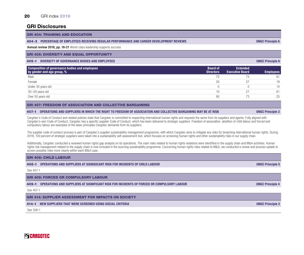#### 20 GRI index 2018

## GRI Disclosures

GRI 404: TRAINING AND EDUCATION

#### 404-3 PERCENTAGE OF EMPLOYEES RECEIVING REGULAR PERFORMANCE AND CAREER DEVELOPMENT REVIEWS UNGC Principle 6

Annual review 2018, pp. 18-21 World-class leadership supports success

#### GRI 405: DIVERSITY AND EQUAL OPPORTUNITY

#### 405-1 DIVERSITY OF GOVERNANCE BODIES AND EMPLOYEES UNGC Principle 6

| Composition of governance bodies and employees<br>by gender and age group, % | <b>Board of</b><br><b>Directors</b> | <b>Extended</b><br><b>Executive Board</b> | <b>Employees</b> |
|------------------------------------------------------------------------------|-------------------------------------|-------------------------------------------|------------------|
| Male                                                                         | 70                                  |                                           | 81               |
| Female                                                                       | 30                                  |                                           | 19               |
| Under 30 years old                                                           |                                     |                                           | 14               |
| 30-50 years old                                                              | 10                                  |                                           | 61               |
| Over 50 years old                                                            | 90                                  |                                           | 25               |

#### GRI 407: FREEDOM OF ASSOCIATION AND COLLECTIVE BARGAINING

#### 407-1 OPERATIONS AND SUPPLIERS IN WHICH THE RIGHT TO FREEDOM OF ASSOCIATION AND COLLECTIVE BARGAINING MAY BE AT RISK UNGC Principle 3

Cargotec's Code of Conduct and related policies state that Cargotec is committed to respecting international human rights and requests the same from its suppliers and agents. Fully aligned with Cargotec's own Code of Conduct, Cargotec has a specific supplier Code of Conduct, which has been delivered to strategic suppliers. Freedom of association, abolition of child labour and forced and compulsory labour are examples of the basic principles Cargotec demands from its suppliers.

The supplier code of conduct process is part of Cargotec's supplier sustainability management programme, with which Cargotec aims to mitigate any risks for breaching international human rights. During 2018, 100 percent of strategic suppliers were taken into a sustainability self-assessment tool, which focuses on screening human rights and other sustainability risks in our supply chain.

Additionally, Cargotec conducted a renewed human rights gap analysis on its operations. The main risks related to human rights violations were identified in the supply chain and M&A activities. Human rights risk management related to the supply chain is now included in the sourcing sustainability programme. Concerning human rights risks related to M&A, we conducted a review and process update to screen possible risks more clearly within each M&A case.

#### GRI 408: CHILD LABOUR

408-1 OPERATIONS AND SUPPLIERS AT SIGNIGICANT RISK FOR INCIDENTS OF CHILD LABOUR UNGC Principle 5

See 407-1

GRI 409: FORCED OR COMPULSORY LABOUR

409-1 OPERATIONS AND SUPPLIERS AT SIGNIFICANT RISK FOR INCIDENTS OF FORCED OR COMPULSORY LABOUR UNGC Principle 4

See 407-1

GRI 414: SUPPLIER ASSESSMENT FOR IMPACTS ON SOCIETY

#### 414-1 NEW SUPPLIERS THAT WERE SCREENED USING SOCIAL CRITERIA UNGC Principle 2

See 308-1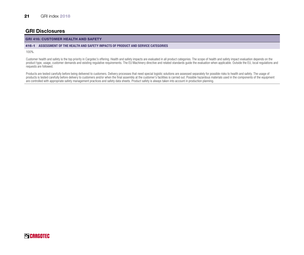#### GRI 416: CUSTOMER HEALTH AND SAFETY

#### 416-1 ASSESSMENT OF THE HEALTH AND SAFETY IMPACTS OF PRODUCT AND SERVICE CATEGORIES

100%.

Customer health and safety is the top priority in Cargotec's offering. Health and safety impacts are evaluated in all product categories. The scope of health and safety impact evaluation depends on the product type, usage, customer demands and existing regulative requirements. The EU Machinery directive and related standards guide the evaluation when applicable. Outside the EU, local regulations and product type, usage, requests are followed.

Products are tested carefully before being delivered to customers. Delivery processes that need special logistic solutions are assessed separately for possible risks to health and safety. The usage of products is tested carefully before delivery to customers and/or when the final assembly at the customer's facilities is carried out. Possible hazardous materials used in the components of the equipment are controlled with appropriate safety management practices and safety data sheets. Product safety is always taken into account in production planning.

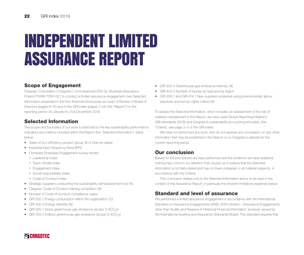## INDEPENDENT LIMITED ASSURANCE REPORT

## Scope of Engagement

Cargotec Corporation ("Cargotec") commissioned DNV GL Business Assurance Finland OY/AB ("DNV GL") to conduct a limited assurance engagement over Selected Information presented in the Non-financial Disclosures as a part of Review of Board of Directors (pages 8–10) and in the GRI index (pages 2–24) (the "Report") for the reporting period 1st January to 31st December 2018.

## Selected Information

The scope and boundary of our work is restricted to the key sustainability performance indicators and metrics included within the Report (the "Selected Information"), listed below:

- Sales of eco-efficiency product group (% of total net sales)
- Industrial injury frequency trend (IIFR)
- Compass Employee Engagement survey results:
	- Leadership index
	- Team climate index
	- Engagement index
	- Social responsibility index
	- Code of Conduct index
- Strategic suppliers conducting the sustainability self-assessment tool (%)
- Cargotec Code of Conduct training completion (%)
- Number of Code of Conduct compliance cases
- GRI 302-1 Energy consumption within the organization (TJ)
- GRI 302-3 Energy intensity (%)
- GRI 305-1 Direct greenhouse gas emissions (scope 1) (tCO<sub>2</sub>e)
- GRI 305-2 Indirect greenhouse gas emissions (scope 2) (tCO<sub>2</sub>e)
- GRI 305-4 Greenhouse gas emissions intensity (%)
- GRI 403-2 Number of injuries by type and by region
- GRI 308-1 and GRI 414-1 New suppliers screened using environmental, labour practices and human rights criteria (%)

To assess the Selected Information, which includes an assessment of the risk of material misstatement in the Report, we have used Global Reporting Initiative's GRI-standards (2016) and Cargotec's sustainability accounting principles, (the "Criteria", see page 2–3 of the GRI index).

We have not performed any work, and do not express any conclusion, on any other information that may be published in the Report or on Cargotec's website for the current reporting period.

## Our conclusion

Based on the procedures we have performed and the evidence we have obtained, nothing has come to our attention that causes us to believe that the Selected Information is not fairly stated and has not been prepared, in all material respects, in accordance with the Criteria.

This conclusion relates only to the Selected Information and is to be read in the context of this Assurance Report, in particular the inherent limitations explained below.

## Standard and level of assurance

We performed a limited assurance engagement in accordance with the International Standard on Assurance Engagements (ISAE) 3000 revised – 'Assurance Engagements other than Audits and Reviews of Historical Financial Information' (revised), issued by the International Auditing and Assurance Standards Board. This standard requires that

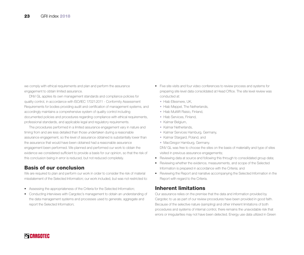we comply with ethical requirements and plan and perform the assurance engagement to obtain limited assurance.

DNV GL applies its own management standards and compliance policies for quality control, in accordance with ISO/IEC 17021:2011 - Conformity Assessment Requirements for bodies providing audit and certification of management systems, and accordingly maintains a comprehensive system of quality control including documented policies and procedures regarding compliance with ethical requirements, professional standards, and applicable legal and regulatory requirements.

The procedures performed in a limited assurance engagement vary in nature and timing from and are less detailed than those undertaken during a reasonable assurance engagement, so the level of assurance obtained is substantially lower than the assurance that would have been obtained had a reasonable assurance engagement been performed. We planned and performed our work to obtain the evidence we considered sufficient to provide a basis for our opinion, so that the risk of this conclusion being in error is reduced, but not reduced completely.

## Basis of our conclusion

We are required to plan and perform our work in order to consider the risk of material misstatement of the Selected Information; our work included, but was not restricted to:

- Assessing the appropriateness of the Criteria for the Selected Information;
- Conducting interviews with Cargotec's management to obtain an understanding of the data management systems and processes used to generate, aggregate and report the Selected Information;
- Five site visits and four video conferences to review process and systems for preparing site level data consolidated at Head Office. The site level review was conducted at:
	- Hiab Ellesmere, UK,
	- Hiab Meppel, The Netherlands,
	- Hiab Multilift Raisio, Finland,
	- Hiab Services, Finland,
	- Kalmar Belgium,
	- Kalmar Netherlands,
	- Kalmar Services Hamburg, Germany,
	- Kalmar Stargard, Poland, and
	- MacGregor Hamburg, Germany.

DNV GL was free to choose the sites on the basis of materiality and type of sites visited in previous assurance engagements;

- Reviewing data at source and following this through to consolidated group data;
- Reviewing whether the evidence, measurements, and scope of the Selected Information is prepared in accordance with the Criteria; and
- Reviewing the Report and narrative accompanying the Selected Information in the Report with regard to the Criteria.

## Inherent limitations

Our assurance relies on the premise that the data and information provided by Cargotec to us as part of our review procedures have been provided in good faith. Because of the selective nature (sampling) and other inherent limitations of both procedures and systems of internal control, there remains the unavoidable risk that errors or irregularities may not have been detected. Energy use data utilized in Green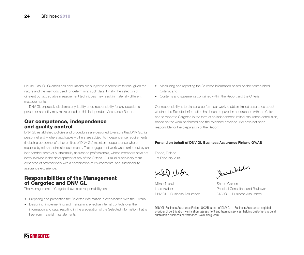House Gas (GHG) emissions calculations are subject to inherent limitations, given the nature and the methods used for determining such data. Finally, the selection of different but acceptable measurement techniques may result in materially different measurements.

DNV GL expressly disclaims any liability or co-responsibility for any decision a person or an entity may make based on this Independent Assurance Report.

### Our competence, independence and quality control

DNV GL established policies and procedures are designed to ensure that DNV GL, its personnel and – where applicable – others are subject to independence requirements (including personnel of other entities of DNV GL) maintain independence where required by relevant ethical requirements. This engagement work was carried out by an independent team of sustainability assurance professionals, whose members have not been involved in the development of any of the Criteria. Our multi-disciplinary team consisted of professionals with a combination of environmental and sustainability assurance experience.

## Responsibilities of the Management of Cargotec and DNV GL

The Management of Cargotec have sole responsibility for:

- Preparing and presenting the Selected information in accordance with the Criteria;
- Designing, implementing and maintaining effective internal controls over the information and data, resulting in the preparation of the Selected Information that is free from material misstatements;
- Measuring and reporting the Selected Information based on their established Criteria; and
- Contents and statements contained within the Report and the Criteria.

Our responsibility is to plan and perform our work to obtain limited assurance about whether the Selected Information has been prepared in accordance with the Criteria and to report to Cargotec in the form of an independent limited assurance conclusion, based on the work performed and the evidence obtained. We have not been responsible for the preparation of the Report.

#### For and on behalf of DNV GL Business Assurance Finland OY/AB

Espoo, Finland 1st February 2019

Will Nich

Mikael Niskala Shaun Walden

Shownhilalder

Lead Auditor Principal Consultant and Reviewer DNV GL – Business Assurance DNV GL – Business Assurance

DNV GL Business Assurance Finland OY/AB is part of DNV GL – Business Assurance, a global provider of certification, verification, assessment and training services, helping customers to build sustainable business performance. www.dnvgl.com

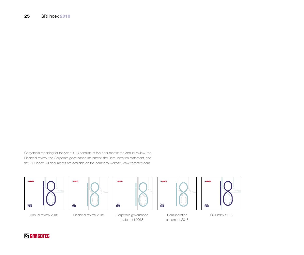Cargotec's reporting for the year 2018 consists of five documents: the Annual review, the Financial review, the Corporate governance statement, the Remuneration statement, and the GRI index. All documents are available on the company website [www.cargotec.com](http://www.cargotec.com).













Annual review 2018 Financial review 2018

statement 2018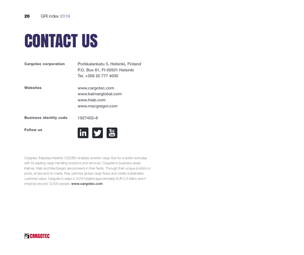

| <b>Cargotec corporation</b>   | Porkkalankatu 5, Helsinki, Finland<br>P.O. Box 61, FI-00501 Helsinki<br>Tel. +358 20 777 4000 |
|-------------------------------|-----------------------------------------------------------------------------------------------|
| Websites                      | www.cargotec.com<br>www.kalmarglobal.com<br>www.hiab.com<br>www.macgregor.com                 |
| <b>Business identity code</b> | 1927402-8                                                                                     |
| <b>Follow us</b>              | Tuhe                                                                                          |

Cargotec (Nasdaq Helsinki: CGCBV) enables smarter cargo flow for a better everyday with its leading cargo handling solutions and services. Cargotec's business areas Kalmar, Hiab and MacGregor are pioneers in their fields. Through their unique position in ports, at sea and on roads, they optimise global cargo flows and create sustainable customer value. Cargotec's sales in 2018 totalled approximately EUR 3.3 billion and it employs around 12,000 people. www.cargotec.com

## **SCARGOTEC**